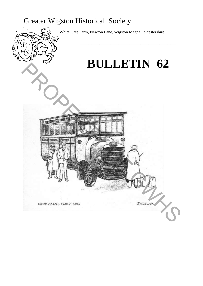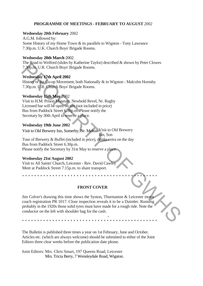# **PROGRAMME OF MEETINGS - FEBRUARY TO AUGUST** 2002

### **Wednesday 20th February** 2002

A.G.M. followed by: Some History of my Home Town *&* its parallels to Wigston - Tony Lawrance 7.30p.m. U.K. Church Boys' Brigade Rooms.

### **Wednesday 20th March** 2002

The Road to Welford (slides by Katherine Taylor) described & shown by Peter Clowes 7.30p.m. U.R. Church Boys' Brigade Rooms.

# **Wednesday 17th April 2002**

History of the Co-op Movement, both Nationally & in Wigston - Malcolm Hornsby 7.30p.m. U.R. Church Boys' Brigade Rooms.

# **Wednesday 15th May** 2002

Visit to H.M. Prison Museum, Newbold Revel, Nr. Rugby Licensed bar will be open on site (not included in price) Bus from Paddock Street 6.30p.m. Please notify the Secretary by 30th April to reserve a place.

# **Wednesday 19th June 2002**

Visit to Old Brewery Visit to Old Brewery Inn, Somerby, Nr. Melton

Inn, Son Tour of Brewery & Buffet (included in price), drinks extra on the day Bus from Paddock Street 6.30p.m. Please notify the Secretary by 31st May to reserve a place.

# **Wednesday 21st August 2002**

Visit to All Saints' Church, Leicester - Rev. David Cawley Meet at Paddock Street 7.15p.m. to share transport.

# **FRONT COVER**

-

\*\*\*\*\*\*\*\*\*\*\*\*\*\*\*\*\*\*\*\*\*\*\*\*\*\*\*\*\*\*\*\*\*\*\*\*\*\*\*\*\*\*\*\*\*

Jim Colver's drawing this time shows the Syston, Thurmaston & Leicester motor coach registration PR 1017. Close inspection reveals it to be a Daimler. Running probably in the 1920s those solid tyres must have made for a rough ride. Note the conductor on the left with shoulder bag for the cash. The conduction of the Mothes op Kantaline Taylor) described as Shown by the Calcular Case<br>T30p.m. U.R. Church Boys Brigade Rooms.<br>
Wednesday **27th April 2002**<br>
History of the Coop Movement, both Nationally & in Wigston - M

\*\*\*\*\*\*\*\*\*\*\*\*\*\*\*\*\*\*\*\*\*\*\*\*\*\*\*\*\*\*\*\*\*\*\*\*\*\*\*\*\*\*\*\*\*

The Bulletin is published three times a year on 1st February, June and October. Articles etc. (which are always welcome) should be submitted to either of the Joint Editors three clear weeks before the publication date please.

Joint Editors: Mrs. Chris Smart, 197 Queens Road, Leicester Mrs. Tricia Berry, 7 Wensleydale Road, Wigston.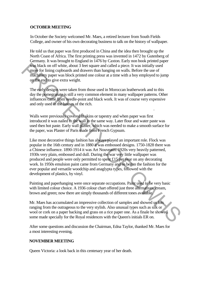# **OCTOBER MEETING**

In October the Society welcomed Mr. Maes, a retired lecturer from South Fields College, and owner of his own decorating business to talk on the history of wallpaper.

He told us that paper was first produced in China and the idea then brought up the North Coast of Africa. The first printing press was invented in 1472 by Gutenberg of Germany. It was brought to England in 1476 by Caxton. Early non book printed paper was black on off white, about 3 feet square and called a piece. It was initially used more for lining cupboards and drawers than hanging on walls. Before the use of machinery paper was block printed one colour at a time with a boy employed to jump on the end to give extra weight.

The early designs were taken from those used in Moroccan leatherwork and to this day the pomegranate is still a very common element in many wallpaper patterns. Other influences came from needle-point and black work. It was of course very expensive and only used in the houses of the rich.

Walls were previously covered in skins or tapestry and when paper was first introduced it was nailed to the wall in the same way. Later flour and water paste was used then hot paste. Early wall plaster, which was needed to make a smooth surface for the paper, was Plaster of Paris made from French Gypsum.

.

Like most decorative things fashion has always played an important role. Flock was popular in the 16th century and in 1880 it was embossed designs. 1750-1828 there was a Chinese influence. 1890-1914 it was Art Nouveaux. 1920s very heavily patterned, 1930s very plain, embossed and dull. During the war very little wallpaper was produced and people were only permitted to spent £15 per year on any decorating work. In 1950s emulsion paint came from Germany and so began the fashion for the ever popular and versatile woodchip and anaglypta types, followed with the development of plastics, by vinyl. was black on off white, about 3 feet square and called a piece. It was initially used<br>most for fining cupboards and drawers than hanging on walls. Before the use of<br>macinitaty paper was block primed one colour at a time w

Painting and paperhanging were once separate occupations. Paint used to be very basic with limited colour choice. A 1936 colour chart offered just three alternatives, cream, brown and green; now there are simply thousands of different tones available.

Mr. Maes has accumulated an impressive collection of samples and showed us lots ranging from the outrageous to the very stylish. Also unusual types such as silk or wool or cork on a paper backing and grass on a rice paper one. As a finale he showed some made specially for the Royal residences with the Queen's initials ER on.

After some questions and discussion the Chairman, Edna Taylor, thanked Mr. Maes for a most interesting evening.

# **NOVEMBER MEETING**

Queen Victoria: a look back in this centenary year of her death.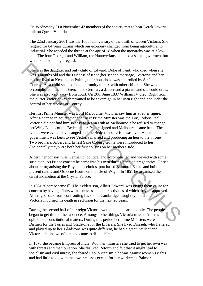On Wednesday 21st November 42 members of the society met to hear Derek Lewiris talk on Queen Victoria.

The 22nd January 2001 was the 100th anniversary of the death of Queen Victoria. She reigned for 64 years during which our economy changed from being agricultural to industrial. She acceded the throne at the age of 18 when the monarchy was at a low ebb. The four Georges and William, the Hanoverians, had had a stable goverment but were not held in high regard.

She was the daughter and only child of Edward, Duke of Kent, who died when she was 8 months old and the Duchess of Kent (her second marriage). Victoria and her mother lived at Kensington Palace, their household was controlled by Sir John Conroy. As a child she had no opportunity to mix with other children. She was accomplished, fluent in French and German, a dancer and a pianist and she could draw. She was also kept away from court. On 20th June 1837 William IV died. Right from the outset Victoria was determined to be sovereign in her own right and not under the control of her mother or Conroy. She was the duaghter and only child of Edward, Duke of Kent, who died when she<br>was Symonts of and the Duches of Kent (her second marriage). Victoria and her<br>modified liby Sir John from the change to the change that the mo

Her first Prime Minister was Lord Melbourne. Victoria saw him as a father figure. After a change in government her next Prime Minister was the Tory Robert Peel. Victoria did not find him so easy to get on with as Melbourne. She refused to change her Whig Ladies of the Bedchamber, Peel resigned and Melbourne came back. The Ladies were eventually changed and the Bedchamber crisis was over. At this point the government was keen to see Victoria married and producing an heir to the throne. Two brothers, Albert and Ernest Saxe Coburg Gotha were introduced to her (incidentally they were both her first cousins on her mother's side).

Albert, her consort, was Germanic, political and accomplished and viewed with some suspicion. As Prince consort he came into his own during her nine pregnancies. He set about re-organising the Royal households, purchased Balmoral Estate and built the present castle, and Osborne House on the Isle of Wight. In 1851 he organised the Great Exhibition at the Crystal Palace.

-

In 1861 Albert became ill. Their eldest son, Albert Edward, was giving them cause for concern by having affairs with actresses and other activities of which they disapproved. Albert got back from confronting his son at Cambridge, caught typhoid and died. Victoria mourned his death in seclusion for the next 20 years.

During the second half of her reign Victoria would not appear in public. The people began to get tired of her absence. Amongst other things Victoria missed Albert's opinion on constitutional matters. During this period her prime Ministers were Disraeli for the Tories and Gladstone for the Liberals. She liked Disraeli, who flattered and played up to her. Gladstone was quite different, he had a great intellect and Victoria felt in awe of him and came to dislike him.

In 1876 she became Empress of India. With her ministers she tried to get her own way with threats and manipulation. She disliked Reform and felt that it might lead to socialism and civil unrest, she feared Republicanism. She was against women's rights and had little to do with the lower classes except for her workers at Balmoral.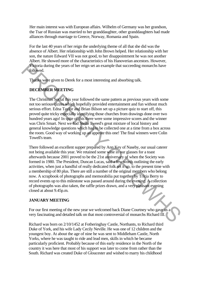Her main interest was with European affairs. Wilhelm of Germany was her grandson, the Tsar of Russian was married to her granddaughter, other granddaughters had made alliances through marriage to Greece, Norway, Romania and Spain.

For the last 40 years of her reign the underlying theme of all that she did was the absence of Albert. Her relationship with John Brown helped. Her relationship with her son, the nature Edward VII was not good, to her disappointment he was not another Albert. He showed more of the characteristics of his Hanoverian ancestors. However, Victoria during the years of her reign set an example that succeeding monarchs have followed.

Thanks were given to Derek for a most interesting and absorbing talk.

# **DECEMBER MEETING**

The Christmas Social this year followed the same pattern as previous years with some not too serious qizzes which hopefully provided entertainment and fun without much serious effort. Edna Taylor and Brian Bilson set up a picture quiz to start off, this proved quite tricky especially identifying those churches from drawings done over two hundred years ago! In spite of this there were some impressive scores and the winner was Chris Smart. Next we had Stella Tweed's great mixture of local history and general knowledge questions which had to be collected one at a time from a box across the room. Good way of working up an appetite this one! The final winners were Colin Towell's team.

There followed an excellent supper prepared by Ann Key of Naseby, our usual caterer not being available this year. We retained some wine in our glasses for a toast afterwards because 2001 proved to be the 21st anniversary of when the Society was formed in 1980. The President, Duncan Lucas, said a few words outlining the early activities, when just a handful of really dedicated folk set it up, to the present time with a membership of 80 plus. There are still a number of the original members who belong now. A scrapbook of photographs and memorabilia put together by Tricia Berry to record events up to this milestone was passed around during the evening. A collection of photographs was also taken, the raffle prizes drawn, and a very pleasant evening closed at about 9.45p.m. **FROMEON SET THE SET THE SET THE SET THANDED** THE SET THE SET THE SET THE THE SET THE THE CHIRAL WANDEN USE THE CHIRAL MAN IN SET THE CHIRAL MAN IN SET THE CHIRAL MAN IN SET THE CHIRAL MAN INTERFERT CHIRAL MAN INTERFERT O

# **JANUARY MEETING**

For our first meeting of the new year we welcomed back Diane Courtney who gave us a very fascinating and detailed talk on that most controversial of monarchs Richard III.

Richard was born on 2/10/1452 at Fotheringhay Castle, Northants, to Richard third Duke of York, and his wife Lady Cecily Neville. He was one of 12 children and the youngest boy. At about the age of nine he was sent to Middleham Castle, North Yorks, where he was taught to ride and lead men, skills in which he became particularly proficient. Probably because of this early residence in the North of the country it was here that most of his support was later to come from rather than the South. Richard was created Duke of Gloucester and wished to marry his childhood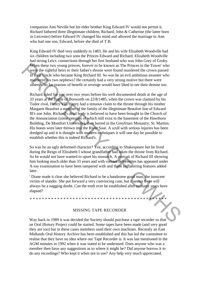companion Ann Neville but his elder brother King Edward IV would not permit it. Richard fathered three illegitimate children, Richard, John & Catherine (the latter born in Leicester) before Edward IV changed his mind and allowed the marriage to Ann who had one son, Edward, before she died of T.B.

King Edward IV died very suddenly in 1483. He and his wife Elizabeth Woodville had six children including two sons the Princes Edward and Richard. Elizabeth Woodville had strong Leics. connections through her first husband who was John Grey of Groby. When these two young princes, forever to be known as The Princes in the Tower' who were the rightful heirs to their father's throne were found murdered the crown passed to their Uncle who became King Richard III. So was he an evil ambitious monster who murdered his two nephews? He certainly had a very strong motive but there were others who for reasons of benefit or revenge would have liked to see their demise too.

Richard ruled for just over two years before his well documented death at the age of 33 years at the Battle of Bosworth on 22/8/1485, when the crown was claimed by his Tudor rival, Henry VII. Henry had a tenuous claim to the throne through his mother Margaret Beaufort a member of the family of the illegitimate Beaufort line of Edward Ill's son John. Richard's dead body is believed to have been brought to the Church of the Annunciation (some remains of which still exist in the basement of the Hawthorn Building, De Montfort University), then buried in the Greyfriars Monastry, St. Martins. His bones were later thrown into the River Soar. A scull with serious injuries has been dredged up and it is thought with modern techniques it will one day be possible to establish whether this is indeed Richard's. When these two young princes, forever to be known as The Princes in the Tower' who<br>were the rightful heirs to their father's throne were found murdered the crown passed<br>of their line in the contributed in the constrained

So was he an ugly deformed character? Yes, according to Shakespeare but he lived during the Reign of Elizabeth I whose grandfather had taken the throne from Richard. So he would not have wanted to upset his monarch. A portrait of Richard III showing him looking much older than 33 years and with various deformities has appeared under X-ray examination to have been tampered with and these unflattering features added later.

' Diane made it clear she believed Richard to be a handsome good man, the innocent victim of slander. She put forward a very convincing case, but it seems there will always be a nagging doubt. Can the truth ever be established after so many years have elapsed?

\*\*\*\*\*\*\*\*\*\*\*\*\*\*\*\*\*\*\*\*\*\*\*\*\*\*\*\*\*\*\*\*\*\*\*\*\*\*

### MISSING TAPE RECORDER

Way back in 1989 it was decided the Society should purchase a tape recorder so that an Oral History Project could be started. Some tapes have been made (and very good they are too) but in these cases members used their own machines. Recently an East Midlands Oral History Archive has been established and this has led the committee to realise that they have no idea where our Tape Recorder is. It was last mentioned in the AGM minutes in 1992 when it was stated to be underused. Does anyone who was a member then have any suggestions as to where it might be? Did anyone borrow it to do any recordings? Who kept it when not in use? Any help very much appreciated.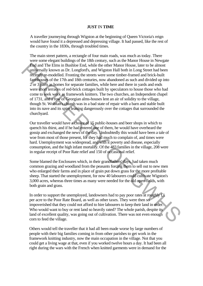#### **JUST** IN **TIME**

A traveller journeying through Wigston at the beginning of Queen Victoria's reign would have found it a depressed and depressing village. It had passed, like the rest of the country in the 1830s, through troubled times.

The main street pattern, a rectangle of four main roads, was much as today. There were some elegant buildings of the 18th century, such as the Manor House in Newgate End and The Elms in Bushloe End, while the other Manor House, later to be almost universally known as Dr. Longford's, and Wigston Hall both in Long Street had been recently re-modelled. Fronting the streets were some timber-framed and brick-built farmhouses of the 17th and 18th centuries, now abandoned as such and divided up into 2 or 3 parts as homes for separate families, while here and there in yards and ends were short terraces of red-brick cottages built by speculators to house those who had come to seek work as framework knitters. The two churches, an Independent chapel of 1731, and a row of Georgian alms-houses lent an air of solidity to the village, though St. Wolstan's church was in a bad state of repair with a barn and stable built into its nave and its spire leaning dangerously over the cottages that surrounded the churchyard. **End** und The Elmis in Bushice End, while the other Manoy House, later to be almost the computereally known as Dr. Longfords, and Wigston Hall both in Long Street had been recently re-modelled. Froming the strets were som

Our traveller would have a choice of 15 public-houses and beer shops in which to quench his thirst, and if he had entered one of them, he would have overheard the gossip and exchanged the news of the day. Undoubtedly this would have been a tale of woe from most of those present, for they had much to complain of, and times were hard. Unemployment was widespread, and with it poverty and disease, especially consumption, and the high infant mortality. Of the 483 families in the village, 208 were in regular receipt of Poor Rate relief and 150 of occasional relief.

Some blamed the Enclosures which, in their grandfathers' days, had taken much common grazing and woodland from the peasants forcing them to sell out to new men who enlarged their farms and in place of grain put down grass for the more profitable sheep. That started the unemployment, for now 40 labourers could cultivate Wigston's 3,000 acres, whereas three times as many were needed for the old open-fields, with both grain and grass.

In order to support the unemployed, landowners had to pay poor rates at roughly £1 per acre to the Poor Rate Board, as well as other taxes. They were then so impoverished that they could not afford to hire labourers to keep their land in order. Who would want to buy or rent land so heavily rated? The whole parish, despite its land of excellent quality, was going out of cultivation. There was not even enough corn to feed the village.

Others would tell the traveller that it had all been made worse by large numbers of people with their big families coming in from other parishes to get work in the framework knitting industry, now the main occupation in the village. Not that you could get a living wage at that, even if you worked twelve hours a day. It had been all right during the wars with the French when knitted garments were in demand for the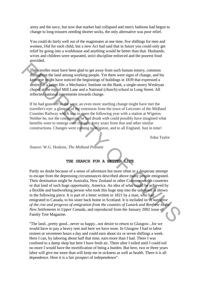army and the navy, but now that market had collapsed and men's fashions had begun to change to long trousers needing shorter socks, the only alternative was poor relief.

You could do fairly well out of the magistrates at one time, five shillings for men and women, l/6d for each child, but a new Act had said that in future you could only get relief by going into a workhouse and anything would be better than that. Husbands, wives and children were separated, strict discipline enforced and the poorest food provided.

The traveller must have been glad to get away from such human misery, common throughout the land among working people. Yet there were signs of change, and his keen eye might have noticed the beginnings of buildings in 1839 that expressed a desire for a better life: a Mechanics' Institute on the Bank, a single-storey Wesleyan chapel at the top of Mill Lane and a National (church) school in Long Street. All reflected national movements towards change.

If he had gone off to the west, an even more startling change might have met the traveller's eye: a glimpse of the extension from the town of Leicester of the Midland Counties Railway which was to open the following year with a station at Wigston. Neither he, nor the companions he had drunk with could possibly have imagined what benefits were to emerge over the next forty years from that and other similar constructions. Changes were coming to Wigston, and to all England. Just in time!

Edna Taylor

Source: W.G. Hoskins, *The Midland Peasant*

### **THE SEARCH FOR A BETTER LIFE**

Partly no doubt because of a sense of adventure but more often in a desperate attempt to escape from the depressing circumstances described above many people emigrated. Their destination might be Australia, New Zealand or other Commonwealth countries or that land of such huge opportunity, America. An idea of what could be achieved by a flexible and hardworking person who took this huge step into the unknown is shown in the following piece. It is part of a letter written in 1821 by a man, who had emigrated to Canada, to his sister back home in Scotland. It is included in: *A narrative of the rise and progress of emigration from the counties of Lanark and Renfrew to the New Settlements in Upper Canada,* and reproduced from the January 2002 issue of Family Tree Magazine. The fractellar must have been glad to get away from such human misery, common<br>monogrom the fand among working people. Yet there were signs of change, and his<br>keep eye might have noited the beginnings of buildings in 1859

"The land...pretty good...never so happy...not desire to return to Glasgow...for we would have to pay a heavy rent and here we have none. In Glasgow I had to labor sixteen or seventeen hours a day and could earn about six or seven shillings a week. Here I can, by laboring about half that time, earn more than I had. There I was confined to a damp shop but here I have fresh air. There after I toiled until I could toil no more I would have the mortification of being a burden. But here, two or three years labor will give me more than will keep me in sickness as well as health. There it is all dependence. Here it is a fair prospect of independence".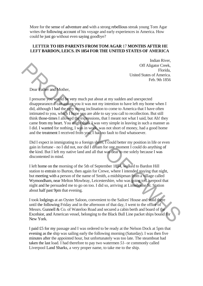More for the sense of adventure and with a strong rebellious streak young Tom Agar writes the following account of his voyage and early experiences in America. How could he just go without even saying goodbye?

# **LETTER TO HIS PARENTS FROM TOM AGAR** 17 **MONTHS AFTER HE LEFT BARDON, LEICS. IN 1854 FOR THE UNITED STATES OF AMERICA**

Indian River, Off Aligator Creek, Florida, United States of America. Feb. 9th 1856

Dear Father and Mother,

I presume you would be very much put about at my sudden and unexpected disappearance. I can assure you it was not my intention to have left my home when I did, although I had the very strong inclination to come to America that I have often intimated to you, which I hope you are able to say you call to recollection. But still think those-times I allowed the expressions, that I meant not what I said, but Ah! they came from my heart. You might think I was very simple in leaving in such a manner as I did. I wanted for nothing, I was in work, was not short of money, had a good home and the treatment I received from you, I had no fault to find whatsoever. Of Aligator Creek,<br>
United Strats of America.<br>
The Bark Crick Creek,<br>
United Strats of America.<br>
Feb. 9th 1856<br>
Decar Father and Mother,<br>
1 presume point of the stery strong inclination to have left my borne when I<br>
did, a

Did I expect in immigrating to a foreign shore, I could better my position in life or even gain in fortune - no I did not, nor did I dream for one moment I could do anything of the kind. But I left my native land and all that was dear to me solely because I was discontented in mind.

I left home on the morning of the 5th of September 1854, walked to Bardon Hill station to entrain to Burton, then again for Crewe, where I intended staying that night, but meeting with a person of the name of Smith, a midshipman from a village called Wymondham, near Melton Mowbray, Leicestershire, who was going to Liverpool that night and he persuaded me to go on too. I did so, arriving at Limehouse St. Station about half past 9pm that evening.

I took lodgings at an Oyster Saloon, convenient to the Sailors' House and staid there until the following Friday and in the afternoon of that day, I went to the office of Messrs. Gunnell & Co. of Waterloo Road and secured a cabin berth and board of the Excelsior, and American vessel, belonging to the Black Bull Line packet ships bound for New York.

I paid £5 for my passage and I was ordered to be ready at the Nelson Dock at 5pm that evening as the ship was sailing early the following morning (Saturday). I was then five minutes after the appointed hour, but unfortunately was too late. The steamboat had taken the last load. I had therefore to pay two watermen *51-* or commonly called Liverpool Land Sharks, a very proper name, to take me to the ship.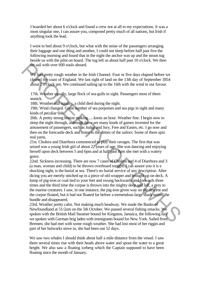I boarded her about 6 o'clock and found a crew not at all to my expectations. It was a most singular one, I can assure you, composed pretty much of all nations, but Irish if anything took the lead.

I went to bed about 9 o'clock, but what with the noise of the passengers arranging their luggage and one thing and another, I could not sleep before half past five the following morning and found that in the night the anchor was up and the steam tug beside us with the pilot on board. The tug left us about half past 10 o'clock. We then set sail with over 600 souls aboard.

We had pretty rough weather in the Irish Channel. Four or five days elapsed before we cleared the coast of England. We last sight of land on the 13th day of September 1854 about 2 o'clock pm. We continued sailing up to the 16th with the wind in our favour.

17th. Weather squally, large flock of sea-gulls in sight. Passengers most of them seasick.

18th. Weather still squally, a child died during the night.

19th. Wind changed. Great number of sea porpoises and sea pigs in sight and many kinds of peculiar fish.

20th. A pretty strong breeze making ..... knots an hour. Weather fine. I begin now to sleep the night through, although there are many kinds of games invented for the amusement of passengers, such as Judge and Jury, Free and Easies, etc. I go now and then on the forecastle deck and listen to the ditties of the sailors. Some of them spin real yarns.

21st. Cholera and Diarrhora commenced to play their ravages. The first that was seized was a young Irish girl of about 22 years of age. She was dancing and enjoying herself upon deck between 5 and 6pm and at half past 8pm she met with a watery grave.

22nd. Sickness increasing. There are now 7 cases of Cholera and 4 of Diarrhora and 3 (a man, woman and child) to be thrown overboard tonight. I can assure you it is a shocking sight, is the burial at sea. There's no burial service of any description. After dicing you are merely stitched up in a piece of old wrapper and brought up on deck. A lump of pig-iron or coal tied to your feet and swung backwards and forwards three times and the third time the corpse is thrown into the mighty deep and left, a prey to the marine creatures. I saw, in one instance, the pig-iron given way on the descent and the corpse floated, but it had not floated far before a tremendous large shark seized the bundle and disappeared. Set sail with over 600 souls aboard.<br>We had pretty rough weather in the Irish Channel. Four or five days elapsed before we<br>cleared the coast of England. We last sight of land on the 13th day of September 1854<br>about 2 or d

23rd. Weather pretty calm. Not making much headway. We made the Banks of Newfoundland at 51/2am on the 5th October. We passed several fishing smacks. We spoken with the British Mail Steamer bound for Kingston, Jamaica, the following day we spoken with German brig laden with immigrants bound for New York. Sailed from Bremen, she had met with some rough weather. She had lost most of her riggin and part of her bulwarks stove in, she had been out 52 days.

We saw two whales I should think about half a mile distance from the vessel. I saw them several times rise with their heads above water and spout the water to a great height. We also saw a floating iceberg which the Captain supposed to have been floating since the month of January.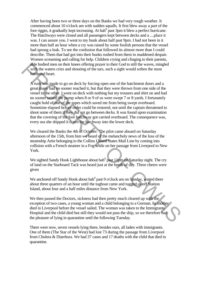After having been two or three days on the Banks we had very rough weather. It commenced about 10 o'clock am with sudden squalls. It first blew away a part of the fore riggin, it gradually kept increasing. At hah $^0$  past 3pm it blew a perfect hurricane. The Hatchways were closed and all passengers kept between decks and a ....place it was. I can assure you. I went to my bunk about half past 9pm. I had not been in it more than half an hour when a cry was raised by some foolish persons that the vessel had sprung a leak. To see the confusion that followed its almost more than I could describe. Them that had got into their bunks rushed from them in maddened despair. Women screaming and calling for help. Children crying and clinging to their parents, able bodied men on their knees offering prayer to their God to still the waves, mingled with the waters cries and shouting of the tars, such a sight would soften the most hardened heart.

A rush was made to go on deck by forcing open one of the hatchment doors and a great many had no sooner reached it, but that they were thrown from one side of the vessel to the other. I went on deck with nothing but my trousers and shirt on and had no sooner seized the pump when 8 or 9 of us were swept 7 or 8 yards. I fortunately caught hold of one of the ropes which saved me from being swept overboard. Sometime elapsed before order could be restored, not until the captain threatened to shoot some of them if they did not go between decks. It was found upon examination that the covering of the fore hatchway got carried overboard. The consequence was, every sea she shipped it down the hatchway into the lower deck. disolocid man on their knees offering prayer to their God to still the waves, mingled<br>with be waters cries and shouting of the tars, such a sight would soften the most<br>fractogred beat.<br>A rush was made to go on deck by forc

We cleared the Banks the 4th of October. The pilot came aboard on Saturday afternoon of the 15th, from him we heard of the melancholy news of the loss of the steamship Artie belonging to the Collins United States Mail Line by coming into collision with a French steamer in a Fog while on her passage from Liverpool to New York.

We sighted Sandy Hook Lighthouse about hah $^0$  past 11pm on Saturday night. The cry of land on the Starboard Tack was heard just at the break of day. Three cheers were given

We anchored off Sandy Hook about hah $<sup>0</sup>$  past 9 o'clock am on Sunday, waited there</sup> about three quarters of an hour until the tugboat came and tugged us off Station Island, about four and a half miles distance from New York.

We then passed the Doctors, sickness had then pretty much cleared up with the exception of two cases, a young woman and a child belonging to a German. Its mother died in Liverpool before the vessel sailed. The woman was taken to the Immigrants Hospital and the child died but still they would not pass the ship, so we therefore had the pleasure of lying in quarantine until the following Tuesday.

There were now, seven vessels lying there, besides ours, all laden with immigrants. One of them (The Star of the West) had lost 73 during the passage from Liverpool from Cholera & Diarrhora. We had 37 cases and 17 deaths with the child that died in quarantine.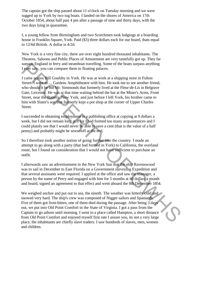The captain got the ship passed about 11 o'clock on Tuesday morning and we were tugged up to York by two tug boats. I landed on the shores of America on 17th October 1854, about half past 4 pm after a passage of nine and thirty days, with the two days lying in quarantine.

I, a young fellow from Birmingham and two Scotchmen took lodgings at a boarding house in Franklin Square, York. Paid (\$3) three dollars each for our board, thats equal to 12/6d British. A dollar is 4/2d.

New York is a very fine city, there are over eight hundred thousand inhabitants. The Theatres, Saloons and Public Places of Amusement are very tastefully got up. They far surpass England in ferry and steamboat travelling. Some of the boats surpass anything I ever saw, you can compare them to floating palaces.

I came across Bill Goulsby in York. He was at work at a shipping store in Fulton Street. I went to .... Gardens Amphitheatre with him. He took me to see another friend, who should it be but Mr. Simmonds that formerly lived at the Fleur-de-Lis in Belgrave Gate, Leicester. He was at that time waiting behind the bar at the Miner's Arms, Front Street, near the Battery, New York, and just before I left York, his brother came to him with Slater's son that formerly kept a pot shop at the corner of Upper Charles Street. surpays Fingland in Ferry and steamborat travelling. Some of the boast surpass anything<br>If a set saw, you can compare them to floating palaces.<br>
I came a gooss Bill Goulsby in York. He was at work at a shipping store in Fu

I succeeded in obtaining employment in a publishing office at copying at 9 dollars a week, but I did not remain long at it for I had formed too many acquaintances and I could plainly see that I would never be able to save a cent (that is the value of a half penny) and probably might be worse off at the end.

So I therefore took another notion of going further into the country. I made an attempt to go along with a party (that had formed in York) to California, the overland route, but I found on consideration that I would not have sufficient to purchase an outfit.

I afterwards saw an advertisement in the New York Sun that the ship Ravenswood was to sail in December to East Florida on a Government surveying Expedition and that several assistants were required. I applied at the office and saw the manager, a person by the name of Perry and engaged with him for 5 months at 40 dollars a month and board, signed an agreement to that effect and went aboard the 8th December 1854.

We weighed anchor and put out to sea, the nineth. The weather was bitterly cold and snowed very hard. The ship's crew was composed of Nigger sailors and Spaniards. Five of them got frost-bitten, one of them died during the passage. After being 3 days out, we put into Old Point Comfort in the State of Virginia. I got a pass from the Captain to go ashore until morning. I went to a place called Hampton, a short distance from Old Point Comfort and enjoyed myself first rate I assure you, its not a very large place, the inhabitants are chiefly slave traders. I saw hundreds of slaves, men, women and children.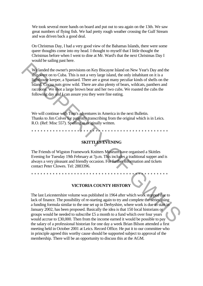We took several more hands on board and put out to sea again on the 13th. We saw great numbers of flying fish. We had pretty rough weather crossing the Gulf Stream and was driven back a good deal.

On Christmas Day, I had a very good view of the Bahamas Islands, there were some queer thoughts come into my head. I thought to myself that I little thought the Christmas before when I went to dine at Mr. Ward's that the next Christmas Day I would be sailing past here.

We landed the owner's provisions on Key Biscayne Island on New Year's Day and the ship went on to Cuba. This is not a very large island, the only inhabitant on it is a lighthouse keeper, a Spaniard. There are a great many peculiar kinds of shells on the island. Cocoa nuts grow wild. There are also plenty of bears, wildcats, panthers and raccoons. We shot a large brown bear and her two cubs. We roasted the cubs the following day and I can assure you they were fine eating.

We will continue with Tom's adventures in America in the next Bulletin. Thanks to Jim Colver for patiently transcribing from the original which is in Leics. R.O. (Ref: Misc 557). Spelling as originally written.

\*\*\*\*\*\*\*\*\*\*\*\*\*\*\*\*\*\*\*\*\*\*\*\*\*\*\*\*\*\*\*\*\*\*\*\*\*\*\*\*\*\*\*\*\*

**SKITTLES EVENING**

The Friends of Wigston Framework Knitters Museum have organised a Skittles Evening for Tuesday 19th February at 7p.m. This includes a traditional supper and is always a very pleasant and friendly occasion. For further information and tickets contact Peter Clowes. Tel: 2883396.

\*\*\*\*\*\*\*\*\*\*\*\*\*\*\*\*\*\*\*\*\*\*\*\*\*\*\*\*\*\*\*\*\*\*\*\*\*\*\*\*\*\*\*\*\*

**VICTORIA COUNTY HISTORY**

The last Leicestershire volume was published in 1964 after which work stopped due to lack of finance. The possibility of re-starting again to try and complete the series using a funding formula similar to the one set up in Derbyshire, where work is due to start in January 2002, has been proposed. Basically the idea is that 150 local historians or groups would be needed to subscribe £5 a month to a fund which over four years would accrue to £30,000. Then from the income earned it would be possible to pay the salary of a professional historian for one day a week Brian Bilson attended a first meeting held in October 2001 at Leics. Record Office. He put it to our committee who in principle agreed this worthy cause should be supported subject to approval of the membership. There will be an opportunity to discuss this at the AGM. We landed the owner's provisions on Key Biscayne Island on New Year's Day and the<br>ship went on to Cuba. This is not a very large island, the only inhabitant on it is a<br>lighthonig keeper, a Spaniard. There are at gena many